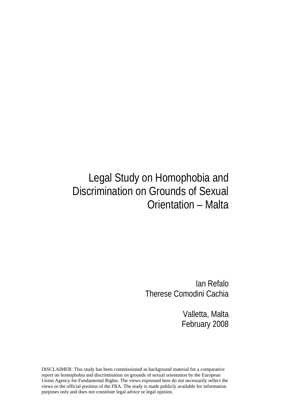# Legal Study on Homophobia and Discrimination on Grounds of Sexual Orientation – Malta

Ian Refalo Therese Comodini Cachia

> Valletta, Malta February 2008

DISCLAIMER: This study has been commissioned as background material for a comparative report on homophobia and discrimination on grounds of sexual orientation by the European Union Agency for Fundamental Rights. The views expressed here do not necessarily reflect the views or the official position of the FRA. The study is made publicly available for information purposes only and does not constitute legal advice or legal opinion.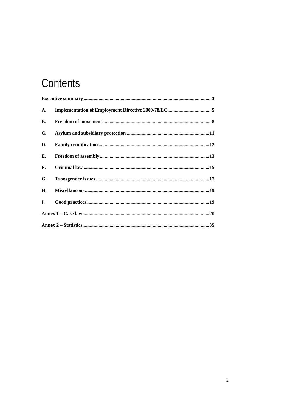# Contents

| A. |  |  |
|----|--|--|
| В. |  |  |
| C. |  |  |
| D. |  |  |
| Е. |  |  |
| F. |  |  |
| G. |  |  |
| Н. |  |  |
| Ι. |  |  |
|    |  |  |
|    |  |  |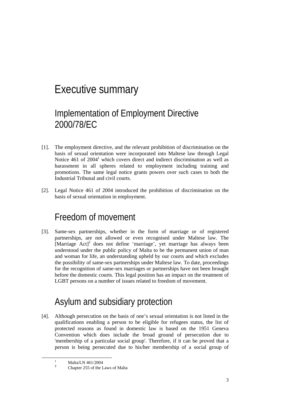## Executive summary

## Implementation of Employment Directive 2000/78/EC

- [1]. The employment directive, and the relevant prohibition of discrimination on the basis of sexual orientation were incorporated into Maltese law through Legal Notice 461 of 2004<sup>1</sup> which covers direct and indirect discrimination as well as harassment in all spheres related to employment including training and promotions. The same legal notice grants powers over such cases to both the Industrial Tribunal and civil courts.
- [2]. Legal Notice 461 of 2004 introduced the prohibition of discrimination on the basis of sexual orientation in employment.

### Freedom of movement

[3]. Same-sex partnerships, whether in the form of marriage or of registered partnerships, are not allowed or even recognised under Maltese law. The  $[Marriage: Act]<sup>2</sup>$  does not define 'marriage', yet marriage has always been understood under the public policy of Malta to be the permanent union of man and woman for life, an understanding upheld by our courts and which excludes the possibility of same-sex partnerships under Maltese law. To date, proceedings for the recognition of same-sex marriages or partnerships have not been brought before the domestic courts. This legal position has an impact on the treatment of LGBT persons on a number of issues related to freedom of movement.

## Asylum and subsidiary protection

[4]. Although persecution on the basis of one's sexual orientation is not listed in the qualifications enabling a person to be eligible for refugees status, the list of protected reasons as found in domestic law is based on the 1951 Geneva Convention which does include the broad ground of persecution due to 'membership of a particular social group'. Therefore, if it can be proved that a person is being persecuted due to his/her membership of a social group of

 $\frac{1}{1}$  $1$  Malta/LN 461/2004  $\overline{2}$ 

Chapter 255 of the Laws of Malta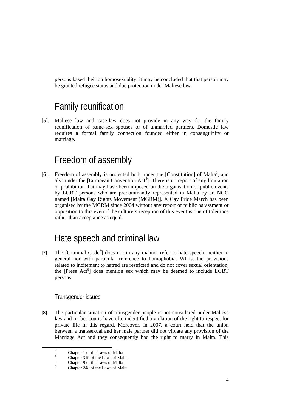persons based their on homosexuality, it may be concluded that that person may be granted refugee status and due protection under Maltese law.

### Family reunification

[5]. Maltese law and case-law does not provide in any way for the family reunification of same-sex spouses or of unmarried partners. Domestic law requires a formal family connection founded either in consanguinity or marriage.

### Freedom of assembly

[6]. Freedom of assembly is protected both under the [Constitution] of Malta<sup>3</sup>, and also under the [European Convention  $Act^4$ ]. There is no report of any limitation or prohibition that may have been imposed on the organisation of public events by LGBT persons who are predominantly represented in Malta by an NGO named [Malta Gay Rights Movement (MGRM)]. A Gay Pride March has been organised by the MGRM since 2004 without any report of public harassment or opposition to this even if the culture's reception of this event is one of tolerance rather than acceptance as equal.

### Hate speech and criminal law

[7]. The [Criminal Code<sup>5</sup>] does not in any manner refer to hate speech, neither in general nor with particular reference to homophobia. Whilst the provisions related to incitement to hatred are restricted and do not cover sexual orientation, the [Press Act<sup>6</sup>] does mention sex which may be deemed to include LGBT persons.

### Transgender issues

[8]. The particular situation of transgender people is not considered under Maltese law and in fact courts have often identified a violation of the right to respect for private life in this regard. Moreover, in 2007, a court held that the union between a transsexual and her male partner did not violate any provision of the Marriage Act and they consequently had the right to marry in Malta. This

 $\frac{1}{3}$ <sup>3</sup> Chapter 1 of the Laws of Malta 4

Chapter 319 of the Laws of Malta 5

Chapter 9 of the Laws of Malta 6

Chapter 248 of the Laws of Malta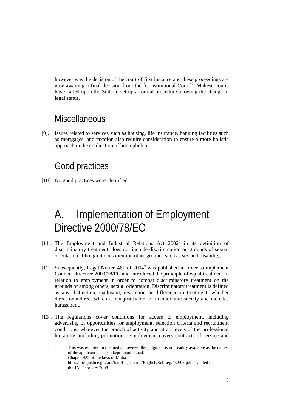however was the decision of the court of first instance and these proceedings are now awaiting a final decision from the [Constitutional Court]<sup>7</sup>. Maltese courts have called upon the State to set up a formal procedure allowing the change in legal status.

### **Miscellaneous**

[9]. Issues related to services such as housing, life insurance, banking facilities such as mortgages, and taxation also require consideration to ensure a more holistic approach in the eradication of homophobia.

## Good practices

[10]. No good practices were identified.

# A. Implementation of Employment Directive 2000/78/EC

- [11]. The Employment and Industrial Relations Act  $2002^8$  in its definition of discriminatory treatment, does not include discrimination on grounds of sexual orientation although it does mention other grounds such as sex and disability.
- [12]. Subsequently, Legal Notice 461 of 2004<sup>9</sup> was published in order to implement Council Directive 2000/78/EC and introduced the principle of equal treatment in relation to employment in order to combat discriminatory treatment on the grounds of among others, sexual orientation. Discriminatory treatment is defined as any distinction, exclusion, restriction or difference in treatment, whether direct or indirect which is not justifiable in a democratic society and includes harassment.
- [13]. The regulations cover conditions for access to employment, including advertising of opportunities for employment, selection criteria and recruitment conditions, whatever the branch of activity and at all levels of the professional hierarchy, including promotions. Employment covers contracts of service and

 $\frac{1}{7}$  This was reported in the media, however the judgment is not readily available as the name of the applicant has been kept unpublished. 8

Chapter 452 of the laws of Malta

<sup>9</sup> http://docs.justice.gov.mt/lom/Legislation/English/SubLeg/452/95.pdf - visited on the  $15<sup>th</sup>$  February 2008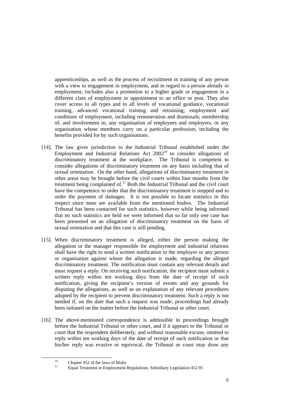apprenticeships, as well as the process of recruitment or training of any person with a view to engagement in employment, and in regard to a person already in employment, includes also a promotion to a higher grade or engagement in a different class of employment or appointment to an office or post. They also cover access to all types and to all levels of vocational guidance, vocational training, advanced vocational training and retraining; employment and conditions of employment, including remuneration and dismissals; membership of, and involvement in, any organisation of employees and employers, or any organisation whose members carry on a particular profession, including the benefits provided for by such organisations.

- [14]. The law gives jurisdiction to the Industrial Tribunal established under the Employment and Industrial Relations Act  $2002^{10}$  to consider allegations of discriminatory treatment at the workplace. The Tribunal is competent to consider allegations of discriminatory treatment on any basis including that of sexual orientation. On the other hand, allegations of discriminatory treatment in other areas may be brought before the civil courts within four months from the treatment being complained of.<sup>11</sup> Both the Industrial Tribunal and the civil court have the competence to order that the discriminatory treatment is stopped and to order the payment of damages. It is not possible to locate statistics in this respect since none are available from the mentioned bodies. The Industrial Tribunal has been contacted for such statistics, however while being informed that no such statistics are held we were informed that so far only one case has been presented on an allegation of discriminatory treatment on the basis of sexual orientation and that this case is still pending.
- [15]. When discriminatory treatment is alleged, either the person making the allegation or the manager responsible for employment and industrial relations shall have the right to send a written notification to the employer or any person or organisation against whom the allegation is made, regarding the alleged discriminatory treatment. The notification must contain any relevant details and must request a reply. On receiving such notification, the recipient must submit a written reply within ten working days from the date of receipt of such notification, giving the recipient's version of events and any grounds for disputing the allegations, as well as an explanation of any relevant procedures adopted by the recipient to prevent discriminatory treatment. Such a reply is not needed if, on the date that such a request was made, proceedings had already been initiated on the matter before the Industrial Tribunal or other court.
- [16]. The above-mentioned correspondence is admissible in proceedings brought before the Industrial Tribunal or other court, and if it appears to the Tribunal or court that the respondent deliberately, and without reasonable excuse, omitted to reply within ten working days of the date of receipt of such notification or that his/her reply was evasive or equivocal, the Tribunal or court may draw any

<sup>&</sup>lt;sup>10</sup> Chapter 452 of the laws of Malta

<sup>11</sup> Equal Treatment in Employment Regulations, Subsidiary Legislation 452.95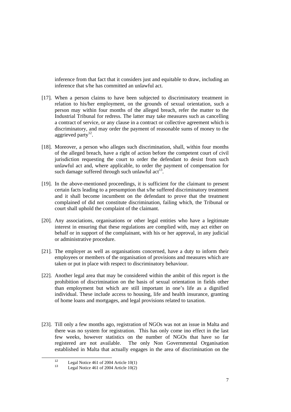inference from that fact that it considers just and equitable to draw, including an inference that s/he has committed an unlawful act.

- [17]. When a person claims to have been subjected to discriminatory treatment in relation to his/her employment, on the grounds of sexual orientation, such a person may within four months of the alleged breach, refer the matter to the Industrial Tribunal for redress. The latter may take measures such as cancelling a contract of service, or any clause in a contract or collective agreement which is discriminatory, and may order the payment of reasonable sums of money to the aggrieved party $^{12}$ .
- [18]. Moreover, a person who alleges such discrimination, shall, within four months of the alleged breach, have a right of action before the competent court of civil jurisdiction requesting the court to order the defendant to desist from such unlawful act and, where applicable, to order the payment of compensation for such damage suffered through such unlawful  $act<sup>13</sup>$ .
- [19]. In the above-mentioned proceedings, it is sufficient for the claimant to present certain facts leading to a presumption that s/he suffered discriminatory treatment and it shall become incumbent on the defendant to prove that the treatment complained of did not constitute discrimination, failing which, the Tribunal or court shall uphold the complaint of the claimant.
- [20]. Any associations, organisations or other legal entities who have a legitimate interest in ensuring that these regulations are complied with, may act either on behalf or in support of the complainant, with his or her approval, in any judicial or administrative procedure.
- [21]. The employer as well as organisations concerned, have a duty to inform their employees or members of the organisation of provisions and measures which are taken or put in place with respect to discriminatory behaviour.
- [22]. Another legal area that may be considered within the ambit of this report is the prohibition of discrimination on the basis of sexual orientation in fields other than employment but which are still important in one's life as a dignified individual. These include access to housing, life and health insurance, granting of home loans and mortgages, and legal provisions related to taxation.
- [23]. Till only a few months ago, registration of NGOs was not an issue in Malta and there was no system for registration. This has only come ino effect in the last few weeks, however statistics on the number of NGOs that have so far registered are not available. The only Non Governmental Organisation established in Malta that actually engages in the area of discrimination on the

<sup>&</sup>lt;sup>12</sup><br>Legal Notice 461 of 2004 Article 10(1)<br>Legal Notice 461 of 2004 Article 10(2)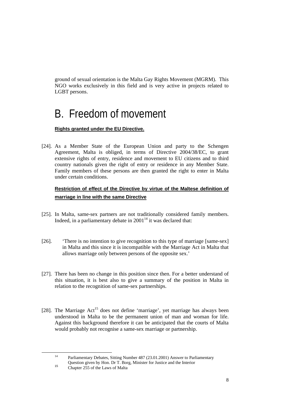ground of sexual orientation is the Malta Gay Rights Movement (MGRM). This NGO works exclusively in this field and is very active in projects related to LGBT persons.

# B. Freedom of movement

### **Rights granted under the EU Directive.**

[24]. As a Member State of the European Union and party to the Schengen Agreement, Malta is obliged, in terms of Directive 2004/38/EC, to grant extensive rights of entry, residence and movement to EU citizens and to third country nationals given the right of entry or residence in any Member State. Family members of these persons are then granted the right to enter in Malta under certain conditions.

### **Restriction of effect of the Directive by virtue of the Maltese definition of marriage in line with the same Directive**

- [25]. In Malta, same-sex partners are not traditionally considered family members. Indeed, in a parliamentary debate in  $2001<sup>14</sup>$  it was declared that:
- [26]. 'There is no intention to give recognition to this type of marriage [same-sex] in Malta and this since it is incompatible with the Marriage Act in Malta that allows marriage only between persons of the opposite sex.'
- [27]. There has been no change in this position since then. For a better understand of this situation, it is best also to give a summary of the position in Malta in relation to the recognition of same-sex partnerships.
- [28]. The Marriage Act<sup>15</sup> does not define 'marriage', yet marriage has always been understood in Malta to be the permanent union of man and woman for life. Against this background therefore it can be anticipated that the courts of Malta would probably not recognise a same-sex marriage or partnership.

 <sup>14</sup> Parliamentary Debates, Sitting Number 487 (23.01.2001) Answer to Parliamentary Question given by Hon. Dr T. Borg, Minister for Justice and the Interior

Chapter 255 of the Laws of Malta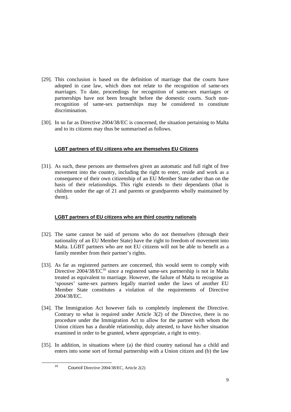- [29]. This conclusion is based on the definition of marriage that the courts have adopted in case law, which does not relate to the recognition of same-sex marriages. To date, proceedings for recognition of same-sex marriages or partnerships have not been brought before the domestic courts. Such nonrecognition of same-sex partnerships may be considered to constitute discrimination.
- [30]. In so far as Directive 2004/38/EC is concerned, the situation pertaining to Malta and to its citizens may thus be summarised as follows.

### **LGBT partners of EU citizens who are themselves EU Citizens**

[31]. As such, these persons are themselves given an automatic and full right of free movement into the country, including the right to enter, reside and work as a consequence of their own citizenship of an EU Member State rather than on the basis of their relationships. This right extends to their dependants (that is children under the age of 21 and parents or grandparents wholly maintained by them).

#### **LGBT partners of EU citizens who are third country nationals**

- [32]. The same cannot be said of persons who do not themselves (through their nationality of an EU Member State) have the right to freedom of movement into Malta. LGBT partners who are not EU citizens will not be able to benefit as a family member from their partner's rights.
- [33]. As far as registered partners are concerned, this would seem to comply with Directive  $2004/38/EC^{16}$  since a registered same-sex partnership is not in Malta treated as equivalent to marriage. However, the failure of Malta to recognise as 'spouses' same-sex partners legally married under the laws of another EU Member State constitutes a violation of the requirements of Directive 2004/38/EC.
- [34]. The Immigration Act however fails to completely implement the Directive. Contrary to what is required under Article  $3(2)$  of the Directive, there is no procedure under the Immigration Act to allow for the partner with whom the Union citizen has a durable relationship, duly attested, to have his/her situation examined in order to be granted, where appropriate, a right to entry.
- [35]. In addition, in situations where (a) the third country national has a child and enters into some sort of formal partnership with a Union citizen and (b) the law

16 Council Directive 2004/38/EC, Article 2(2)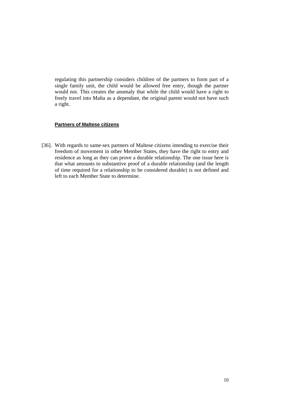regulating this partnership considers children of the partners to form part of a single family unit, the child would be allowed free entry, though the partner would not. This creates the anomaly that while the child would have a right to freely travel into Malta as a dependant, the original parent would not have such a right.

#### **Partners of Maltese citizens**

[36]. With regards to same-sex partners of Maltese citizens intending to exercise their freedom of movement in other Member States, they have the right to entry and residence as long as they can prove a durable relationship. The one issue here is that what amounts to substantive proof of a durable relationship (and the length of time required for a relationship to be considered durable) is not defined and left to each Member State to determine.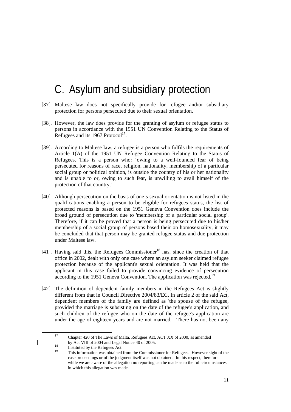## C. Asylum and subsidiary protection

- [37]. Maltese law does not specifically provide for refugee and/or subsidiary protection for persons persecuted due to their sexual orientation.
- [38]. However, the law does provide for the granting of asylum or refugee status to persons in accordance with the 1951 UN Convention Relating to the Status of Refugees and its 1967 Protocol<sup>17</sup>.
- [39]. According to Maltese law, a refugee is a person who fulfils the requirements of Article 1(A) of the 1951 UN Refugee Convention Relating to the Status of Refugees. This is a person who: 'owing to a well-founded fear of being persecuted for reasons of race, religion, nationality, membership of a particular social group or political opinion, is outside the country of his or her nationality and is unable to or, owing to such fear, is unwilling to avail himself of the protection of that country.'
- [40]. Although persecution on the basis of one's sexual orientation is not listed in the qualifications enabling a person to be eligible for refugees status, the list of protected reasons is based on the 1951 Geneva Convention does include the broad ground of persecution due to 'membership of a particular social group'. Therefore, if it can be proved that a person is being persecuted due to his/her membership of a social group of persons based their on homosexuality, it may be concluded that that person may be granted refugee status and due protection under Maltese law.
- [41]. Having said this, the Refugees Commissioner<sup>18</sup> has, since the creation of that office in 2002, dealt with only one case where an asylum seeker claimed refugee protection because of the applicant's sexual orientation. It was held that the applicant in this case failed to provide convincing evidence of persecution according to the 1951 Geneva Convention. The application was rejected.<sup>19</sup>
- [42]. The definition of dependent family members in the Refugees Act is slightly different from that in Council Directive 2004/83/EC. In article 2 of the said Act, dependent members of the family are defined as 'the spouse of the refugee, provided the marriage is subsisting on the date of the refugee's application, and such children of the refugee who on the date of the refugee's application are under the age of eighteen years and are not married.' There has not been any

<sup>&</sup>lt;sup>17</sup> Chapter 420 of The Laws of Malta, Refugees Act, ACT XX of 2000, as amended

by Act VIII of 2004 and Legal Notice 40 of 2005.<br><sup>18</sup>Instituted by the Refugees Act This information was obtained from the Commissioner for Refugees. However sight of the case proceedings or of the judgment itself was not obtained. In this respect, therefore while we are aware of the allegation no reporting can be made as to the full circumstances in which this allegation was made.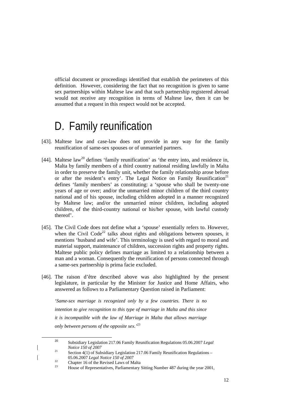official document or proceedings identified that establish the perimeters of this definition. However, considering the fact that no recognition is given to same sex partnerships within Maltese law and that such partnership registered abroad would not receive any recognition in terms of Maltese law, then it can be assumed that a request in this respect would not be accepted.

## D. Family reunification

- [43]. Maltese law and case-law does not provide in any way for the family reunification of same-sex spouses or of unmarried partners.
- [44]. Maltese law<sup>20</sup> defines 'family reunification' as 'the entry into, and residence in, Malta by family members of a third country national residing lawfully in Malta in order to preserve the family unit, whether the family relationship arose before or after the resident's entry'. The Legal Notice on Family Reunification<sup>21</sup> defines 'family members' as constituting: a 'spouse who shall be twenty-one years of age or over; and/or the unmarried minor children of the third country national and of his spouse, including children adopted in a manner recognized by Maltese law; and/or the unmarried minor children, including adopted children, of the third-country national or his/her spouse, with lawful custody thereof'.
- [45]. The Civil Code does not define what a 'spouse' essentially refers to. However, when the Civil Code<sup>22</sup> talks about rights and obligations between spouses, it mentions 'husband and wife'. This terminology is used with regard to moral and material support, maintenance of children, succession rights and property rights. Maltese public policy defines marriage as limited to a relationship between a man and a woman. Consequently the reunification of persons connected through a same-sex partnership is prima facie excluded.
- [46]. The raison d'être described above was also highlighted by the present legislature, in particular by the Minister for Justice and Home Affairs, who answered as follows to a Parliamentary Question raised in Parliament:

*'Same-sex marriage is recognized only by a few countries. There is no intention to give recognition to this type of marriage in Malta and this since it is incompatible with the law of Marriage in Malta that allows marriage only between persons of the opposite sex.'*<sup>23</sup>

<sup>&</sup>lt;sup>20</sup> Subsidiary Legislation 217.06 Family Reunification Regulations 05.06.2007 *Legal Notice 150 of 2007*<br><sup>21</sup> *S<sub>p</sub> i A(1) SS<sub>p</sub>* 

Section 4(1) of Subsidiary Legislation 217.06 Family Reunification Regulations –

<sup>05.06.2007</sup> *Legal Notice 150 of 2007*<br><sup>22</sup> Chapter 16 of the Revised Laws of Malta

<sup>23</sup> House of Representatives, Parliamentary Sitting Number 487 during the year 2001,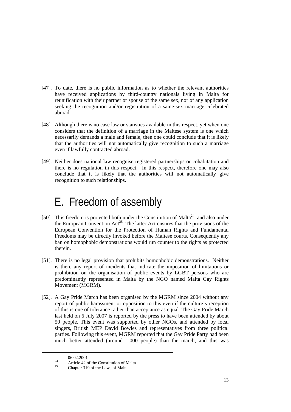- [47]. To date, there is no public information as to whether the relevant authorities have received applications by third-country nationals living in Malta for reunification with their partner or spouse of the same sex, nor of any application seeking the recognition and/or registration of a same-sex marriage celebrated abroad.
- [48]. Although there is no case law or statistics available in this respect, yet when one considers that the definition of a marriage in the Maltese system is one which necessarily demands a male and female, then one could conclude that it is likely that the authorities will not automatically give recognition to such a marriage even if lawfully contracted abroad.
- [49]. Neither does national law recognise registered partnerships or cohabitation and there is no regulation in this respect. In this respect, therefore one may also conclude that it is likely that the authorities will not automatically give recognition to such relationships.

# E. Freedom of assembly

- [50]. This freedom is protected both under the Constitution of Malta<sup>24</sup>, and also under the European Convention  $Act^{25}$ . The latter Act ensures that the provisions of the European Convention for the Protection of Human Rights and Fundamental Freedoms may be directly invoked before the Maltese courts. Consequently any ban on homophobic demonstrations would run counter to the rights as protected therein.
- [51]. There is no legal provision that prohibits homophobic demonstrations. Neither is there any report of incidents that indicate the imposition of limitations or prohibition on the organisation of public events by LGBT persons who are predominantly represented in Malta by the NGO named Malta Gay Rights Movement (MGRM).
- [52]. A Gay Pride March has been organised by the MGRM since 2004 without any report of public harassment or opposition to this even if the culture's reception of this is one of tolerance rather than acceptance as equal. The Gay Pride March last held on 6 July 2007 is reported by the press to have been attended by about 50 people. This event was supported by other NGOs, and attended by local singers, British MEP David Bowles and representatives from three political parties. Following this event, MGRM reported that the Gay Pride Party had been much better attended (around 1,000 people) than the march, and this was

 $06.02.2001$ 

<sup>&</sup>lt;sup>24</sup><br>Article 42 of the Constitution of Malta<br>Chapter 319 of the Laws of Malta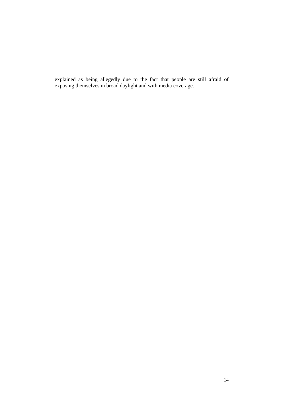explained as being allegedly due to the fact that people are still afraid of exposing themselves in broad daylight and with media coverage.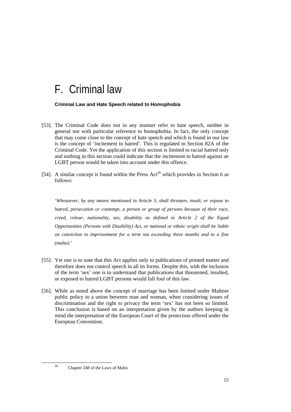## F. Criminal law

#### **Criminal Law and Hate Speech related to Homophobia**

- [53]. The Criminal Code does not in any manner refer to hate speech, neither in general nor with particular reference to homophobia. In fact, the only concept that may come close to the concept of hate speech and which is found in our law is the concept of 'incitement to hatred'. This is regulated in Section 82A of the Criminal Code. Yet the application of this section is limited to racial hatred only and nothing in this section could indicate that the incitement to hatred against an LGBT person would be taken into account under this offence.
- [54]. A similar concept is found within the Press  $Act^{26}$  which provides in Section 6 as follows:

*'Whosoever, by any means mentioned in Article 3, shall threaten, insult, or expose to hatred, persecution or contempt, a person or group of persons because of their race, creed, colour, nationality, sex, disability as defined in Article 2 of the Equal Opportunities (Persons with Disability) Act, or national or ethnic origin shall be liable on conviction to imprisonment for a term not exceeding three months and to a fine (multa).'* 

- [55]. Yet one is to note that this Act applies only to publications of printed matter and therefore does not control speech in all its forms. Despite this, with the inclusion of the term 'sex' one is to understand that publications that threatened, insulted, or exposed to hatred LGBT persons would fall foul of this law.
- [56]. While as noted above the concept of marriage has been limited under Maltese public policy to a union between man and woman, when considering issues of discrimination and the right to privacy the term 'sex' has not been so limited. This conclusion is based on an interpretation given by the authors keeping in mind the interpretation of the European Court of the protection offered under the European Convention.

<sup>26</sup> Chapter 248 of the Laws of Malta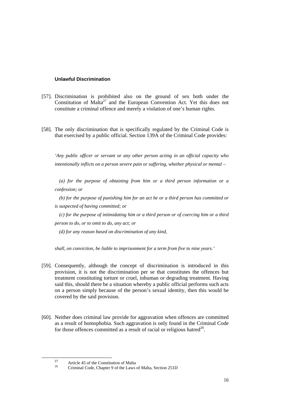#### **Unlawful Discrimination**

- [57]. Discrimination is prohibited also on the ground of sex both under the Constitution of Malta<sup>27</sup> and the European Convention Act. Yet this does not constitute a criminal offence and merely a violation of one's human rights.
- [58]. The only discrimination that is specifically regulated by the Criminal Code is that exercised by a public official. Section 139A of the Criminal Code provides:

*'Any public officer or servant or any other person acting in an official capacity who intentionally inflicts on a person severe pain or suffering, whether physical or mental –* 

*(a) for the purpose of obtaining from him or a third person information or a confession; or* 

*(b) for the purpose of punishing him for an act he or a third person has committed or is suspected of having committed; or* 

*(c) for the purpose of intimidating him or a third person or of coercing him or a third person to do, or to omit to do, any act; or* 

*(d) for any reason based on discrimination of any kind,* 

*shall, on conviction, be liable to imprisonment for a term from five to nine years.'* 

- [59]. Consequently, although the concept of discrimination is introduced in this provision, it is not the discrimination per se that constitutes the offences but treatment constituting torture or cruel, inhuman or degrading treatment. Having said this, should there be a situation whereby a public official performs such acts on a person simply because of the person's sexual identity, then this would be covered by the said provision.
- [60]. Neither does criminal law provide for aggravation when offences are committed as a result of homophobia. Such aggravation is only found in the Criminal Code for those offences committed as a result of racial or religious hatred<sup>28</sup>.

<sup>&</sup>lt;sup>27</sup><br>Article 45 of the Constitution of Malta 28 Criminal Code, Chapter 9 of the Laws of Malta, Section 251D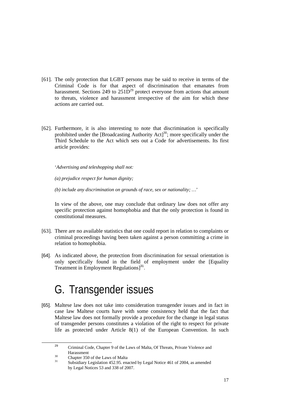- [61]. The only protection that LGBT persons may be said to receive in terms of the Criminal Code is for that aspect of discrimination that emanates from harassment. Sections 249 to  $251\overline{D}^{29}$  protect everyone from actions that amount to threats, violence and harassment irrespective of the aim for which these actions are carried out.
- [62]. Furthermore, it is also interesting to note that discrimination is specifically prohibited under the [Broadcasting Authority Act]<sup>30</sup>; more specifically under the Third Schedule to the Act which sets out a Code for advertisements. Its first article provides:

'*Advertising and teleshopping shall not:* 

*(a) prejudice respect for human dignity;* 

*(b) include any discrimination on grounds of race, sex or nationality; …*'

In view of the above, one may conclude that ordinary law does not offer any specific protection against homophobia and that the only protection is found in constitutional measures.

- [63]. There are no available statistics that one could report in relation to complaints or criminal proceedings having been taken against a person committing a crime in relation to homophobia.
- [64]. As indicated above, the protection from discrimination for sexual orientation is only specifically found in the field of employment under the [Equality Treatment in Employment Regulations<sup>[31</sup>].

# G. Transgender issues

[65]. Maltese law does not take into consideration transgender issues and in fact in case law Maltese courts have with some consistency held that the fact that Maltese law does not formally provide a procedure for the change in legal status of transgender persons constitutes a violation of the right to respect for private life as protected under Article 8(1) of the European Convention. In such

<sup>&</sup>lt;sup>29</sup> Criminal Code, Chapter 9 of the Laws of Malta, Of Threats, Private Violence and  $\frac{30}{250}$  Harassment

 $^{30}$  Chapter 350 of the Laws of Malta

Subsidiary Legislation 452.95. enacted by Legal Notice 461 of 2004, as amended by Legal Notices 53 and 338 of 2007.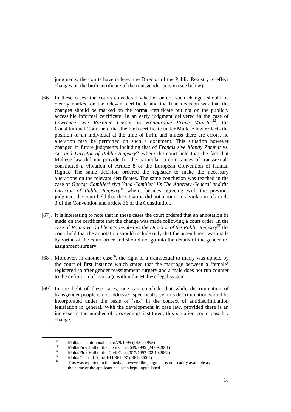judgments, the courts have ordered the Director of the Public Registry to effect changes on the birth certificate of the transgender person (see below).

- [66]. In these cases, the courts considered whether or not such changes should be clearly marked on the relevant certificate and the final decision was that the changes should be marked on the formal certificate but not on the publicly accessible informal certificate. In an early judgment delivered in the case of *Lawrence sive Roxanne Cassar vs Honourable Prime Minister*<sup>32</sup>*,* the Constitutional Court held that the birth certificate under Maltese law reflects the position of an individual at the time of birth, and unless there are errors, no alteration may be permitted on such a document. This situation however changed in future judgments including that of *Francis sive Mandy Zammit vs. AG and Director of Public Registry<sup>33</sup>* where the court held that the fact that Maltese law did not provide for the particular circumstances of transsexuals constituted a violation of Article 8 of the European Convention of Human Rights. The same decision ordered the registrar to make the necessary alterations on the relevant certificates. The same conclusion was reached in the case of *George Camilleri sive Yana Camilleri Vs The Attorney General and the Director of Public Registry<sup>34</sup>* where, besides agreeing with the previous judgment the court held that the situation did not amount to a violation of article 3 of the Convention and article 36 of the Constitution.
- [67]. It is interesting to note that in these cases the court ordered that an annotation be made on the certificate that the change was made following a court order. In the case of *Paul sive Kathleen Schembri vs the Director of the Public Registry<sup>35</sup>* the court held that the annotation should include only that the amendment was made by virtue of the court order and should not go into the details of the gender reassignment surgery.
- [68]. Moreover, in another case<sup>36</sup>, the right of a transsexual to marry was upheld by the court of first instance which stated that the marriage between a 'female' registered so after gender reassignment surgery and a male does not run counter to the definition of marriage within the Maltese legal system.
- [69]. In the light of these cases, one can conclude that while discrimination of transgender people is not addressed specifically yet this discrimination would be incorporated under the basis of 'sex' in the context of antidiscrimination legislation in general. With the development in case law, provided there is an increase in the number of proceedings instituted, this situation could possibly change.

<sup>&</sup>lt;sup>32</sup> Malta/Constitutional Court/79/1995 (14.07.1995)<br><sup>33</sup> Malta First Hall of the Civil Court (690/1000 (24.07)

 $33$  Malta/First Hall of the Civil Court/689/1999 (24.09.2001)<br>
Malta/First Hall of the Civil Court/617/1997 (02.10.2002)<br>
Malta/Court of Appeal/1100/1997 (06/12/2002)

This was reported in the media, however the judgment is not readily available as the name of the applicant has been kept unpublished.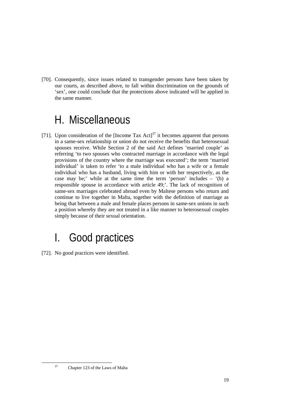[70]. Consequently, since issues related to transgender persons have been taken by our courts, as described above, to fall within discrimination on the grounds of 'sex', one could conclude that the protections above indicated will be applied in the same manner.

# H. Miscellaneous

[71]. Upon consideration of the [Income Tax Act] $37$  it becomes apparent that persons in a same-sex relationship or union do not receive the benefits that heterosexual spouses receive. While Section 2 of the said Act defines 'married couple' as referring 'to two spouses who contracted marriage in accordance with the legal provisions of the country where the marriage was executed'; the term 'married individual' is taken to refer 'to a male individual who has a wife or a female individual who has a husband, living with him or with her respectively, as the case may be;' while at the same time the term 'person' includes – '(b) a responsible spouse in accordance with article 49;'. The lack of recognition of same-sex marriages celebrated abroad even by Maltese persons who return and continue to live together in Malta, together with the definition of marriage as being that between a male and female places persons in same-sex unions in such a position whereby they are not treated in a like manner to heterosexual couples simply because of their sexual orientation.

# I. Good practices

[72]. No good practices were identified.

 <sup>37</sup> Chapter 123 of the Laws of Malta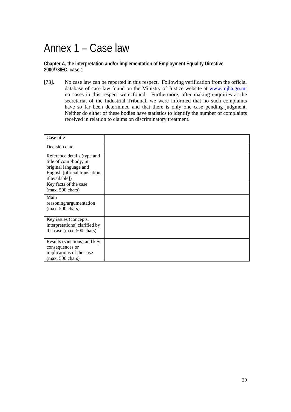# Annex 1 – Case law

**Chapter A, the interpretation and/or implementation of Employment Equality Directive 2000/78/EC, case 1** 

[73]. No case law can be reported in this respect. Following verification from the official database of case law found on the Ministry of Justice website at www.mjha.go.mt no cases in this respect were found. Furthermore, after making enquiries at the secretariat of the Industrial Tribunal, we were informed that no such complaints have so far been determined and that there is only one case pending judgment. Neither do either of these bodies have statistics to identify the number of complaints received in relation to claims on discriminatory treatment.

| Case title                                                                                                                          |  |
|-------------------------------------------------------------------------------------------------------------------------------------|--|
| Decision date                                                                                                                       |  |
| Reference details (type and<br>title of court/body; in<br>original language and<br>English [official translation,<br>if available]) |  |
| Key facts of the case<br>$(max. 500 \text{ chars})$                                                                                 |  |
| Main<br>reasoning/argumentation<br>$(max. 500 \text{ chars})$                                                                       |  |
| Key issues (concepts,<br>interpretations) clarified by<br>the case (max. 500 chars)                                                 |  |
| Results (sanctions) and key<br>consequences or<br>implications of the case<br>$(max. 500 \text{ chars})$                            |  |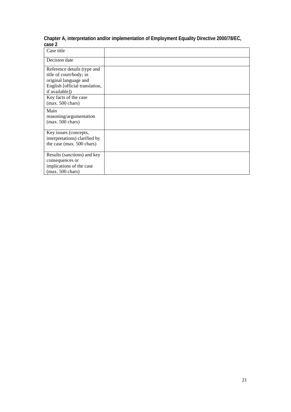| Case title                                                                                                                          |  |
|-------------------------------------------------------------------------------------------------------------------------------------|--|
| Decision date                                                                                                                       |  |
| Reference details (type and<br>title of court/body; in<br>original language and<br>English [official translation,<br>if available]) |  |
| Key facts of the case<br>$(max. 500 \text{ chars})$                                                                                 |  |
| Main<br>reasoning/argumentation<br>$(max. 500 \text{ chars})$                                                                       |  |
| Key issues (concepts,<br>interpretations) clarified by<br>the case (max. 500 chars)                                                 |  |
| Results (sanctions) and key<br>consequences or<br>implications of the case<br>$(max. 500 \text{ chars})$                            |  |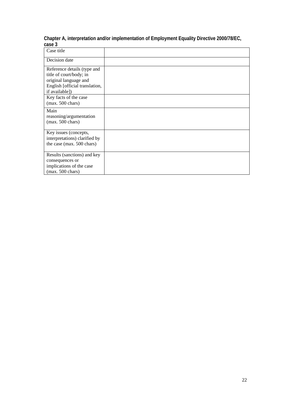| Case title                                                                                                                          |  |
|-------------------------------------------------------------------------------------------------------------------------------------|--|
| Decision date                                                                                                                       |  |
| Reference details (type and<br>title of court/body; in<br>original language and<br>English [official translation,<br>if available]) |  |
| Key facts of the case<br>$(max. 500 \text{ chars})$                                                                                 |  |
| Main<br>reasoning/argumentation<br>$(max. 500 \text{ chars})$                                                                       |  |
| Key issues (concepts,<br>interpretations) clarified by<br>the case (max. 500 chars)                                                 |  |
| Results (sanctions) and key<br>consequences or<br>implications of the case<br>$(max. 500 \text{ chars})$                            |  |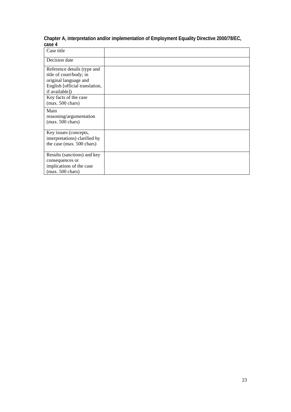| Case title                                                                                                                          |  |
|-------------------------------------------------------------------------------------------------------------------------------------|--|
| Decision date                                                                                                                       |  |
| Reference details (type and<br>title of court/body; in<br>original language and<br>English [official translation,<br>if available]) |  |
| Key facts of the case<br>$(max. 500 \text{ chars})$                                                                                 |  |
| Main<br>reasoning/argumentation<br>$(max. 500 \text{ chars})$                                                                       |  |
| Key issues (concepts,<br>interpretations) clarified by<br>the case (max. 500 chars)                                                 |  |
| Results (sanctions) and key<br>consequences or<br>implications of the case<br>$(max. 500 \text{ chars})$                            |  |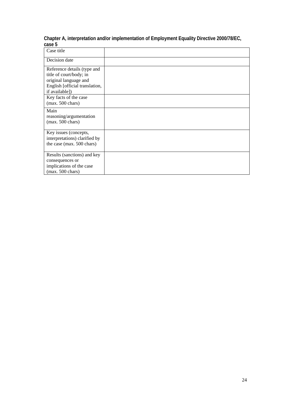| Case title                                                                                                                          |  |
|-------------------------------------------------------------------------------------------------------------------------------------|--|
| Decision date                                                                                                                       |  |
| Reference details (type and<br>title of court/body; in<br>original language and<br>English [official translation,<br>if available]) |  |
| Key facts of the case<br>$(max. 500 \text{ chars})$                                                                                 |  |
| Main<br>reasoning/argumentation<br>$(max. 500 \text{ chars})$                                                                       |  |
| Key issues (concepts,<br>interpretations) clarified by<br>the case (max. 500 chars)                                                 |  |
| Results (sanctions) and key<br>consequences or<br>implications of the case<br>$(max. 500 \text{ chars})$                            |  |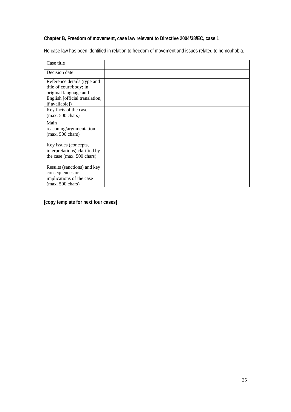### **Chapter B, Freedom of movement, case law relevant to Directive 2004/38/EC, case 1**

No case law has been identified in relation to freedom of movement and issues related to homophobia.

| Case title                                                                                                                          |  |
|-------------------------------------------------------------------------------------------------------------------------------------|--|
| Decision date                                                                                                                       |  |
| Reference details (type and<br>title of court/body; in<br>original language and<br>English [official translation,<br>if available]) |  |
| Key facts of the case<br>$(max. 500 \text{ chars})$                                                                                 |  |
| Main<br>reasoning/argumentation<br>$(max. 500 \text{ chars})$                                                                       |  |
| Key issues (concepts,<br>interpretations) clarified by<br>the case (max. 500 chars)                                                 |  |
| Results (sanctions) and key<br>consequences or<br>implications of the case<br>$(max. 500 \text{ chars})$                            |  |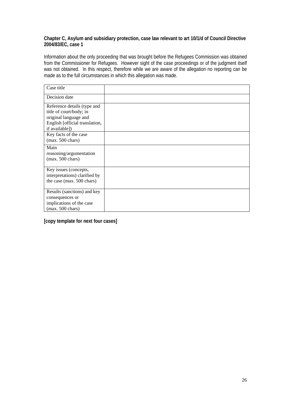### **Chapter C, Asylum and subsidiary protection, case law relevant to art 10/1/d of Council Directive 2004/83/EC, case 1**

Information about the only proceeding that was brought before the Refugees Commission was obtained from the Commissioner for Refugees. However sight of the case proceedings or of the judgment itself was not obtained. In this respect, therefore while we are aware of the allegation no reporting can be made as to the full circumstances in which this allegation was made.

| Case title                                                                                                                          |  |
|-------------------------------------------------------------------------------------------------------------------------------------|--|
| Decision date                                                                                                                       |  |
| Reference details (type and<br>title of court/body; in<br>original language and<br>English [official translation,<br>if available]) |  |
| Key facts of the case<br>$(max. 500 \text{ chars})$                                                                                 |  |
| Main<br>reasoning/argumentation<br>$(max. 500 \text{ chars})$                                                                       |  |
| Key issues (concepts,<br>interpretations) clarified by<br>the case (max. 500 chars)                                                 |  |
| Results (sanctions) and key<br>consequences or<br>implications of the case<br>$(max. 500 \text{ chars})$                            |  |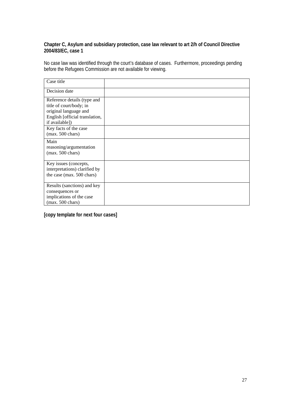### **Chapter C, Asylum and subsidiary protection, case law relevant to art 2/h of Council Directive 2004/83/EC, case 1**

No case law was identified through the court's database of cases. Furthermore, proceedings pending before the Refugees Commission are not available for viewing.

| Case title                                                                                                                          |  |
|-------------------------------------------------------------------------------------------------------------------------------------|--|
| Decision date                                                                                                                       |  |
| Reference details (type and<br>title of court/body; in<br>original language and<br>English [official translation,<br>if available]) |  |
| Key facts of the case<br>$(max. 500 \text{ chars})$                                                                                 |  |
| Main<br>reasoning/argumentation<br>$(max. 500 \text{ chars})$                                                                       |  |
| Key issues (concepts,<br>interpretations) clarified by<br>the case (max. 500 chars)                                                 |  |
| Results (sanctions) and key<br>consequences or<br>implications of the case<br>$(max. 500 \text{ chars})$                            |  |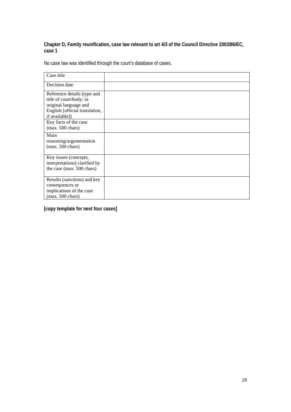### **Chapter D, Family reunification, case law relevant to art 4/3 of the Council Directive 2003/86/EC, case 1**

No case law was identified through the court's database of cases.

| Case title                                                                                                                          |  |
|-------------------------------------------------------------------------------------------------------------------------------------|--|
| Decision date                                                                                                                       |  |
| Reference details (type and<br>title of court/body; in<br>original language and<br>English [official translation,<br>if available]) |  |
| Key facts of the case<br>$(max. 500 \text{ chars})$                                                                                 |  |
| Main<br>reasoning/argumentation<br>$(max. 500 \text{ chars})$                                                                       |  |
| Key issues (concepts,<br>interpretations) clarified by<br>the case (max. 500 chars)                                                 |  |
| Results (sanctions) and key<br>consequences or<br>implications of the case<br>$(max. 500 \text{ chars})$                            |  |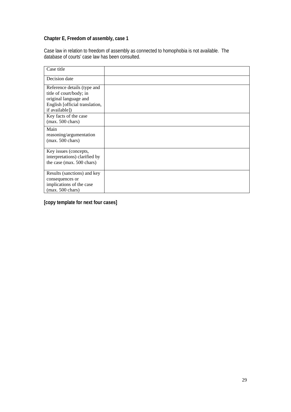### **Chapter E, Freedom of assembly, case 1**

Case law in relation to freedom of assembly as connected to homophobia is not available. The database of courts' case law has been consulted.

| Case title                                                                                                                          |  |
|-------------------------------------------------------------------------------------------------------------------------------------|--|
| Decision date                                                                                                                       |  |
| Reference details (type and<br>title of court/body; in<br>original language and<br>English [official translation,<br>if available]) |  |
| Key facts of the case<br>$(max. 500 \text{ chars})$                                                                                 |  |
| Main<br>reasoning/argumentation<br>$(max. 500 \text{ chars})$                                                                       |  |
| Key issues (concepts,<br>interpretations) clarified by<br>the case (max. 500 chars)                                                 |  |
| Results (sanctions) and key<br>consequences or<br>implications of the case<br>$(max. 500 \text{ chars})$                            |  |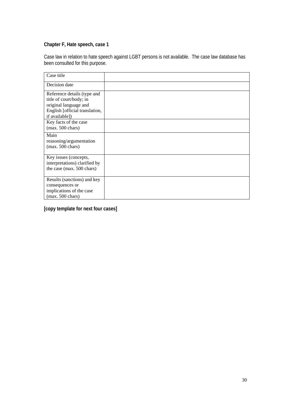### **Chapter F, Hate speech, case 1**

Case law in relation to hate speech against LGBT persons is not available. The case law database has been consulted for this purpose.

| Case title                                                                                                                          |  |
|-------------------------------------------------------------------------------------------------------------------------------------|--|
| Decision date                                                                                                                       |  |
| Reference details (type and<br>title of court/body; in<br>original language and<br>English [official translation,<br>if available]) |  |
| Key facts of the case<br>$(max. 500 \text{ chars})$                                                                                 |  |
| Main<br>reasoning/argumentation<br>$(max. 500 \text{ chars})$                                                                       |  |
| Key issues (concepts,<br>interpretations) clarified by<br>the case (max. 500 chars)                                                 |  |
| Results (sanctions) and key<br>consequences or<br>implications of the case<br>$(max. 500 \text{ chars})$                            |  |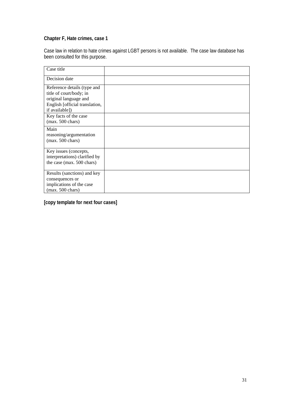### **Chapter F, Hate crimes, case 1**

Case law in relation to hate crimes against LGBT persons is not available. The case law database has been consulted for this purpose.

| Case title                                                                                                                          |  |
|-------------------------------------------------------------------------------------------------------------------------------------|--|
| Decision date                                                                                                                       |  |
| Reference details (type and<br>title of court/body; in<br>original language and<br>English [official translation,<br>if available]) |  |
| Key facts of the case<br>$(max. 500 \text{ chars})$                                                                                 |  |
| Main<br>reasoning/argumentation<br>$(max. 500 \text{ chars})$                                                                       |  |
| Key issues (concepts,<br>interpretations) clarified by<br>the case (max. 500 chars)                                                 |  |
| Results (sanctions) and key<br>consequences or<br>implications of the case<br>$(max. 500 \text{ chars})$                            |  |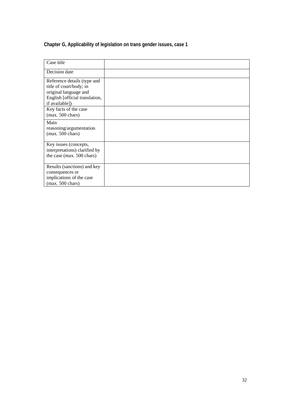### **Chapter G, Applicability of legislation on trans gender issues, case 1**

| Case title                                                                                                                          |  |
|-------------------------------------------------------------------------------------------------------------------------------------|--|
| Decision date                                                                                                                       |  |
| Reference details (type and<br>title of court/body; in<br>original language and<br>English [official translation,<br>if available]) |  |
| Key facts of the case<br>$(max. 500 \text{ chars})$                                                                                 |  |
| Main<br>reasoning/argumentation<br>$(max. 500 \text{ chars})$                                                                       |  |
| Key issues (concepts,<br>interpretations) clarified by<br>the case (max. 500 chars)                                                 |  |
| Results (sanctions) and key<br>consequences or<br>implications of the case<br>$(max. 500 \text{ chars})$                            |  |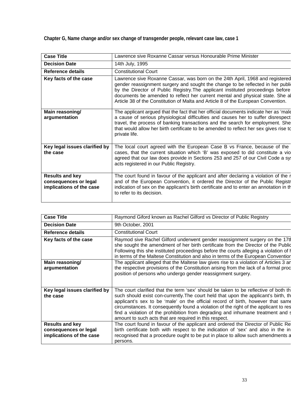**Chapter G, Name change and/or sex change of transgender people, relevant case law, case 1** 

| <b>Case Title</b>                                                           | Lawrence sive Roxanne Cassar versus Honourable Prime Minister                                                                                                                                                                                                                                                                                                                                                            |
|-----------------------------------------------------------------------------|--------------------------------------------------------------------------------------------------------------------------------------------------------------------------------------------------------------------------------------------------------------------------------------------------------------------------------------------------------------------------------------------------------------------------|
| <b>Decision Date</b>                                                        | 14th July, 1995                                                                                                                                                                                                                                                                                                                                                                                                          |
| <b>Reference details</b>                                                    | <b>Constitutional Court</b>                                                                                                                                                                                                                                                                                                                                                                                              |
| Key facts of the case                                                       | Lawrence sive Roxanne Cassar, was born on the 24th April, 1968 and registered<br>gender reassignment surgery and sought the change to be reflected in her publi-<br>by the Director of Public Registry. The applicant instituted proceedings before<br>documents be amended to reflect her current mental and physical state. She a<br>Article 38 of the Constitution of Malta and Article 8 of the European Convention. |
| Main reasoning/<br>argumentation                                            | The applicant argued that the fact that her official documents indicate her as 'male<br>a cause of serious physiological difficulties and causes her to suffer disrespect<br>travel, the process of banking transactions and the search for employment. She<br>that would allow her birth certificate to be amended to reflect her sex gives rise to<br>private life.                                                    |
| Key legal issues clarified by<br>the case                                   | The local court agreed with the European Case B vs France, because of the<br>cases, that the current situation which 'B' was exposed to did constitute a vio<br>agreed that our law does provide in Sections 253 and 257 of our Civil Code a sy-<br>acts registered in our Public Registry.                                                                                                                              |
| <b>Results and key</b><br>consequences or legal<br>implications of the case | The court found in favour of the applicant and after declaring a violation of the r<br>and of the European Convention, it ordered the Director of the Public Registr<br>indication of sex on the applicant's birth certificate and to enter an annotation in the<br>to refer to its decision.                                                                                                                            |

| <b>Case Title</b>                                 | Raymond Giford known as Rachel Gilford vs Director of Public Registry                                                                                                                                                                                                                                                                                                                                        |
|---------------------------------------------------|--------------------------------------------------------------------------------------------------------------------------------------------------------------------------------------------------------------------------------------------------------------------------------------------------------------------------------------------------------------------------------------------------------------|
| <b>Decision Date</b>                              | 9th October, 2001                                                                                                                                                                                                                                                                                                                                                                                            |
| Reference details                                 | <b>Constitutional Court</b>                                                                                                                                                                                                                                                                                                                                                                                  |
| Key facts of the case                             | Raymod sive Rachel Gilford underwent gender reassignment surgery on the 17th<br>she sought the amendment of her birth certificate from the Director of the Public<br>Following this she instituted proceedings before the courts alleging a violation of h<br>in terms of the Maltese Constitution and also in terms of the European Convention                                                              |
| Main reasoning/                                   | The applicant alleged that the Maltese law gives rise to a violation of Articles 3 and                                                                                                                                                                                                                                                                                                                       |
| argumentation                                     | the respective provisions of the Constitution arising from the lack of a formal proc<br>position of persons who undergo gender reassignment surgery.                                                                                                                                                                                                                                                         |
| Key legal issues clarified by                     | The court clarified that the term 'sex' should be taken to be reflective of both th                                                                                                                                                                                                                                                                                                                          |
| the case                                          | such should exist con-currently. The court held that upon the applicant's birth, th<br>applicant's sex to be 'male' on the official record of birth, however that same<br>circumstances. It consequently found a violation of the right of the applicant to res<br>find a violation of the prohibition from degrading and inhumane treatment and s<br>amount to such acts that are required in this respect. |
| <b>Results and key</b>                            | The court found in favour of the applicant and ordered the Director of Public Re                                                                                                                                                                                                                                                                                                                             |
| consequences or legal<br>implications of the case | birth certificate both with respect to the indication of 'sex' and also in the in<br>recognised that a procedure ought to be put in place to allow such amendments a<br>persons.                                                                                                                                                                                                                             |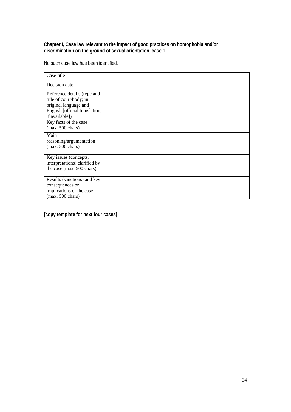### **Chapter I, Case law relevant to the impact of good practices on homophobia and/or discrimination on the ground of sexual orientation, case 1**

No such case law has been identified.

| Case title                                                                                                                          |  |
|-------------------------------------------------------------------------------------------------------------------------------------|--|
| Decision date                                                                                                                       |  |
| Reference details (type and<br>title of court/body; in<br>original language and<br>English [official translation,<br>if available]) |  |
| Key facts of the case<br>$(max. 500 \text{ chars})$                                                                                 |  |
| Main<br>reasoning/argumentation<br>$(max. 500 \text{ chars})$                                                                       |  |
| Key issues (concepts,<br>interpretations) clarified by<br>the case (max. 500 chars)                                                 |  |
| Results (sanctions) and key<br>consequences or<br>implications of the case<br>$(max. 500 \text{ chars})$                            |  |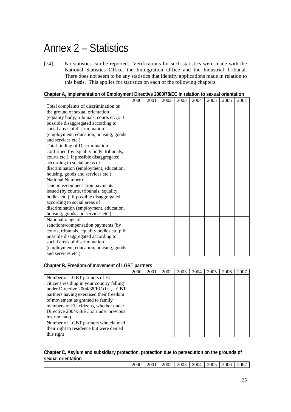# Annex 2 – Statistics

[74]. No statistics can be reported. Verifications for such statistics were made with the National Statistics Office, the Immigration Office and the Industrial Tribunal. There does not seem to be any statistics that identify applications made in relation to this basis. This applies for statistics on each of the following chapters.

| Chapter A, Implementation of Employment Directive 2000/78/EC in relation to sexual orientation |
|------------------------------------------------------------------------------------------------|
|------------------------------------------------------------------------------------------------|

|                                              | 2000 | 2001 | 2002 | 2003 | 2004 | 2005 | 2006 | 2007 |
|----------------------------------------------|------|------|------|------|------|------|------|------|
| Total complaints of discrimination on        |      |      |      |      |      |      |      |      |
| the ground of sexual orientation             |      |      |      |      |      |      |      |      |
| (equality body, tribunals, courts etc.): if  |      |      |      |      |      |      |      |      |
| possible disaggregated according to          |      |      |      |      |      |      |      |      |
| social areas of discrimination               |      |      |      |      |      |      |      |      |
| (employment, education, housing, goods       |      |      |      |      |      |      |      |      |
| and services etc.)                           |      |      |      |      |      |      |      |      |
| Total finding of Discrimination              |      |      |      |      |      |      |      |      |
| confirmed (by equality body, tribunals,      |      |      |      |      |      |      |      |      |
| courts etc.): if possible disaggregated      |      |      |      |      |      |      |      |      |
| according to social areas of                 |      |      |      |      |      |      |      |      |
| discrimination (employment, education,       |      |      |      |      |      |      |      |      |
| housing, goods and services etc.)            |      |      |      |      |      |      |      |      |
| National Number of                           |      |      |      |      |      |      |      |      |
| sanctions/compensation payments              |      |      |      |      |      |      |      |      |
| issued (by courts, tribunals, equality       |      |      |      |      |      |      |      |      |
| bodies etc.): if possible disaggregated      |      |      |      |      |      |      |      |      |
| according to social areas of                 |      |      |      |      |      |      |      |      |
| discrimination (employment, education,       |      |      |      |      |      |      |      |      |
| housing, goods and services etc.)            |      |      |      |      |      |      |      |      |
| National range of                            |      |      |      |      |      |      |      |      |
| sanctions/compensation payments (by          |      |      |      |      |      |      |      |      |
| courts, tribunals, equality bodies etc.): if |      |      |      |      |      |      |      |      |
| possible disaggregated according to          |      |      |      |      |      |      |      |      |
| social areas of discrimination               |      |      |      |      |      |      |      |      |
| (employment, education, housing, goods       |      |      |      |      |      |      |      |      |
| and services etc.)                           |      |      |      |      |      |      |      |      |

### **Chapter B, Freedom of movement of LGBT partners**

|                                           | <b>2000</b> | 2001 | 2002 | 2003 | 2004 | 2005 | 2006 | 2007 |
|-------------------------------------------|-------------|------|------|------|------|------|------|------|
| Number of LGBT partners of EU             |             |      |      |      |      |      |      |      |
| citizens residing in your country falling |             |      |      |      |      |      |      |      |
| under Directive 2004/38/EC (i.e., LGBT    |             |      |      |      |      |      |      |      |
| partners having exercised their freedom   |             |      |      |      |      |      |      |      |
| of movement as granted to family          |             |      |      |      |      |      |      |      |
| members of EU citizens, whether under     |             |      |      |      |      |      |      |      |
| Directive 2004/38/EC or under previous    |             |      |      |      |      |      |      |      |
| instruments)                              |             |      |      |      |      |      |      |      |
| Number of LGBT partners who claimed       |             |      |      |      |      |      |      |      |
| their right to residence but were denied  |             |      |      |      |      |      |      |      |
| this right                                |             |      |      |      |      |      |      |      |

### **Chapter C, Asylum and subsidiary protection, protection due to persecution on the grounds of sexual orientation**

|  | 2000 | 2001 | 2002 | 2003 | 2004 | 2005 | 2006 | 2007 |
|--|------|------|------|------|------|------|------|------|
|--|------|------|------|------|------|------|------|------|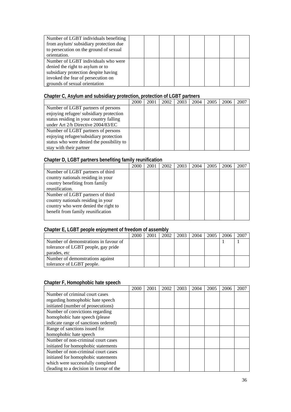| Number of LGBT individuals benefiting  |  |  |  |  |
|----------------------------------------|--|--|--|--|
| from asylum/subsidiary protection due  |  |  |  |  |
| to persecution on the ground of sexual |  |  |  |  |
| orientation.                           |  |  |  |  |
| Number of LGBT individuals who were    |  |  |  |  |
| denied the right to asylum or to       |  |  |  |  |
| subsidiary protection despite having   |  |  |  |  |
| invoked the fear of persecution on     |  |  |  |  |
| grounds of sexual orientation          |  |  |  |  |

### **Chapter C, Asylum and subsidiary protection, protection of LGBT partners**

|                                           | 2000 | 2001 | 2002 | 2003 | 2004 | 2005 | 2006 | 2007 |
|-------------------------------------------|------|------|------|------|------|------|------|------|
| Number of LGBT partners of persons        |      |      |      |      |      |      |      |      |
| enjoying refugee/ subsidiary protection   |      |      |      |      |      |      |      |      |
| status residing in your country falling   |      |      |      |      |      |      |      |      |
| under Art 2/h Directive 2004/83/EC        |      |      |      |      |      |      |      |      |
| Number of LGBT partners of persons        |      |      |      |      |      |      |      |      |
| enjoying refugee/subsidiary protection    |      |      |      |      |      |      |      |      |
| status who were denied the possibility to |      |      |      |      |      |      |      |      |
| stay with their partner                   |      |      |      |      |      |      |      |      |

### **Chapter D, LGBT partners benefiting family reunification**

|                                      | 2000 | 2001 | 2002 | 2003 | 2004 | 2005 | 2006 | 2007 |
|--------------------------------------|------|------|------|------|------|------|------|------|
| Number of LGBT partners of third     |      |      |      |      |      |      |      |      |
| country nationals residing in your   |      |      |      |      |      |      |      |      |
| country benefiting from family       |      |      |      |      |      |      |      |      |
| reunification.                       |      |      |      |      |      |      |      |      |
| Number of LGBT partners of third     |      |      |      |      |      |      |      |      |
| country nationals residing in your   |      |      |      |      |      |      |      |      |
| country who were denied the right to |      |      |      |      |      |      |      |      |
| benefit from family reunification    |      |      |      |      |      |      |      |      |
|                                      |      |      |      |      |      |      |      |      |

### **Chapter E, LGBT people enjoyment of freedom of assembly**

|                                       | 2000 | 2001 | 2002 | 2003 | 2004 | 2005 | 2006 | 200 <sup>-</sup> |
|---------------------------------------|------|------|------|------|------|------|------|------------------|
| Number of demonstrations in favour of |      |      |      |      |      |      |      |                  |
| tolerance of LGBT people, gay pride   |      |      |      |      |      |      |      |                  |
| parades, etc                          |      |      |      |      |      |      |      |                  |
| Number of demonstrations against      |      |      |      |      |      |      |      |                  |
| tolerance of LGBT people.             |      |      |      |      |      |      |      |                  |

### **Chapter F, Homophobic hate speech**

|                                         | 2000 | 2001 | 2002 | 2003 | 2004 | 2005 | 2006 | 2007 |
|-----------------------------------------|------|------|------|------|------|------|------|------|
| Number of criminal court cases          |      |      |      |      |      |      |      |      |
| regarding homophobic hate speech        |      |      |      |      |      |      |      |      |
| initiated (number of prosecutions)      |      |      |      |      |      |      |      |      |
| Number of convictions regarding         |      |      |      |      |      |      |      |      |
| homophobic hate speech (please          |      |      |      |      |      |      |      |      |
| indicate range of sanctions ordered)    |      |      |      |      |      |      |      |      |
| Range of sanctions issued for           |      |      |      |      |      |      |      |      |
| homophobic hate speech                  |      |      |      |      |      |      |      |      |
| Number of non-criminal court cases      |      |      |      |      |      |      |      |      |
| initiated for homophobic statements     |      |      |      |      |      |      |      |      |
| Number of non-criminal court cases      |      |      |      |      |      |      |      |      |
| initiated for homophobic statements     |      |      |      |      |      |      |      |      |
| which were successfully completed       |      |      |      |      |      |      |      |      |
| (leading to a decision in favour of the |      |      |      |      |      |      |      |      |